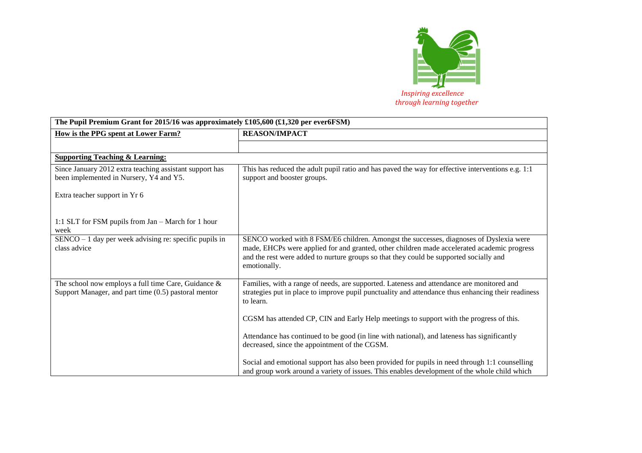

| The Pupil Premium Grant for 2015/16 was approximately £105,600 (£1,320 per ever6FSM)                             |                                                                                                                                                                                                                                                                                                 |
|------------------------------------------------------------------------------------------------------------------|-------------------------------------------------------------------------------------------------------------------------------------------------------------------------------------------------------------------------------------------------------------------------------------------------|
| How is the PPG spent at Lower Farm?                                                                              | <b>REASON/IMPACT</b>                                                                                                                                                                                                                                                                            |
|                                                                                                                  |                                                                                                                                                                                                                                                                                                 |
| <b>Supporting Teaching &amp; Learning:</b>                                                                       |                                                                                                                                                                                                                                                                                                 |
| Since January 2012 extra teaching assistant support has<br>been implemented in Nursery, Y4 and Y5.               | This has reduced the adult pupil ratio and has paved the way for effective interventions e.g. 1:1<br>support and booster groups.                                                                                                                                                                |
| Extra teacher support in Yr 6                                                                                    |                                                                                                                                                                                                                                                                                                 |
| 1:1 SLT for FSM pupils from Jan - March for 1 hour<br>week                                                       |                                                                                                                                                                                                                                                                                                 |
| $SENCO - 1$ day per week advising re: specific pupils in<br>class advice                                         | SENCO worked with 8 FSM/E6 children. Amongst the successes, diagnoses of Dyslexia were<br>made, EHCPs were applied for and granted, other children made accelerated academic progress<br>and the rest were added to nurture groups so that they could be supported socially and<br>emotionally. |
| The school now employs a full time Care, Guidance $\&$<br>Support Manager, and part time $(0.5)$ pastoral mentor | Families, with a range of needs, are supported. Lateness and attendance are monitored and<br>strategies put in place to improve pupil punctuality and attendance thus enhancing their readiness<br>to learn.                                                                                    |
|                                                                                                                  | CGSM has attended CP, CIN and Early Help meetings to support with the progress of this.                                                                                                                                                                                                         |
|                                                                                                                  | Attendance has continued to be good (in line with national), and lateness has significantly<br>decreased, since the appointment of the CGSM.                                                                                                                                                    |
|                                                                                                                  | Social and emotional support has also been provided for pupils in need through 1:1 counselling<br>and group work around a variety of issues. This enables development of the whole child which                                                                                                  |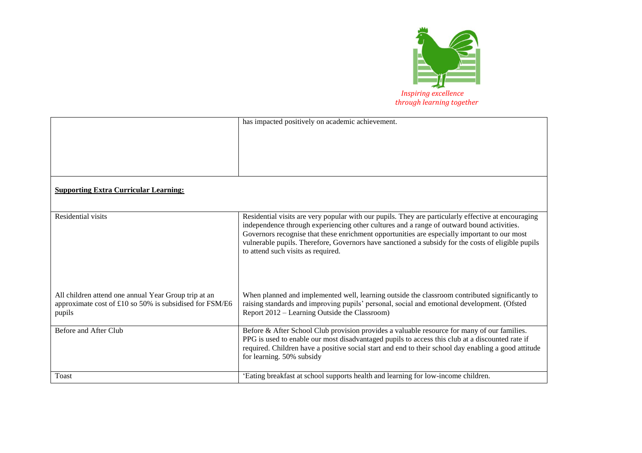

|                                                         | has impacted positively on academic achievement.                                                                                                                                               |
|---------------------------------------------------------|------------------------------------------------------------------------------------------------------------------------------------------------------------------------------------------------|
|                                                         |                                                                                                                                                                                                |
|                                                         |                                                                                                                                                                                                |
|                                                         |                                                                                                                                                                                                |
|                                                         |                                                                                                                                                                                                |
|                                                         |                                                                                                                                                                                                |
|                                                         |                                                                                                                                                                                                |
| <b>Supporting Extra Curricular Learning:</b>            |                                                                                                                                                                                                |
|                                                         |                                                                                                                                                                                                |
|                                                         |                                                                                                                                                                                                |
| <b>Residential visits</b>                               | Residential visits are very popular with our pupils. They are particularly effective at encouraging                                                                                            |
|                                                         | independence through experiencing other cultures and a range of outward bound activities.<br>Governors recognise that these enrichment opportunities are especially important to our most      |
|                                                         | vulnerable pupils. Therefore, Governors have sanctioned a subsidy for the costs of eligible pupils                                                                                             |
|                                                         | to attend such visits as required.                                                                                                                                                             |
|                                                         |                                                                                                                                                                                                |
|                                                         |                                                                                                                                                                                                |
|                                                         |                                                                                                                                                                                                |
|                                                         |                                                                                                                                                                                                |
| All children attend one annual Year Group trip at an    | When planned and implemented well, learning outside the classroom contributed significantly to                                                                                                 |
| approximate cost of £10 so 50% is subsidised for FSM/E6 | raising standards and improving pupils' personal, social and emotional development. (Ofsted                                                                                                    |
| pupils                                                  | Report 2012 – Learning Outside the Classroom)                                                                                                                                                  |
| Before and After Club                                   |                                                                                                                                                                                                |
|                                                         | Before & After School Club provision provides a valuable resource for many of our families.<br>PPG is used to enable our most disadvantaged pupils to access this club at a discounted rate if |
|                                                         | required. Children have a positive social start and end to their school day enabling a good attitude                                                                                           |
|                                                         | for learning. 50% subsidy                                                                                                                                                                      |
|                                                         |                                                                                                                                                                                                |
| <b>Toast</b>                                            | 'Eating breakfast at school supports health and learning for low-income children.                                                                                                              |